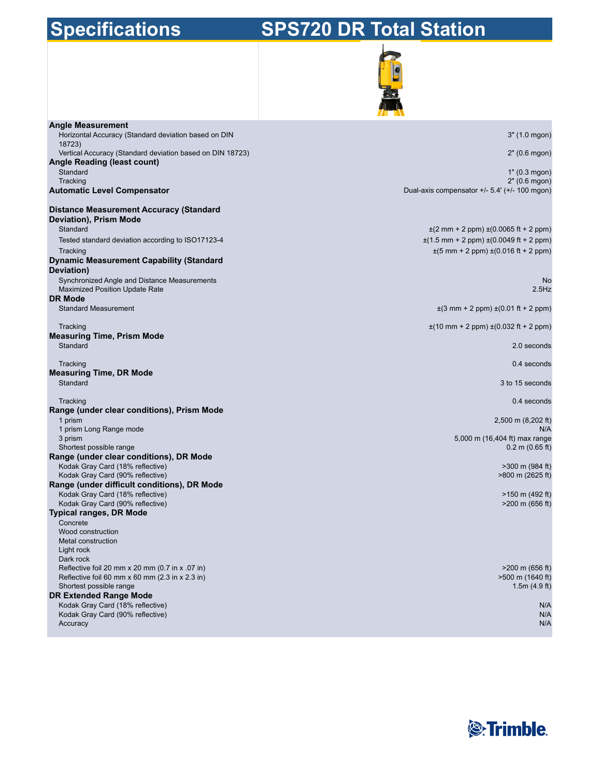# **Specifications**

# **SPS720 DR Total Station**



| <b>Angle Measurement</b>                                                                 |                                                                            |
|------------------------------------------------------------------------------------------|----------------------------------------------------------------------------|
| Horizontal Accuracy (Standard deviation based on DIN<br>18723)                           | 3" (1.0 mgon)                                                              |
| Vertical Accuracy (Standard deviation based on DIN 18723)<br>Angle Reading (least count) | 2" (0.6 mgon)                                                              |
| Standard                                                                                 | 1" (0.3 mgon)                                                              |
| Tracking                                                                                 | 2" (0.6 mgon)                                                              |
| <b>Automatic Level Compensator</b>                                                       | Dual-axis compensator +/- 5.4' (+/- 100 mgon)                              |
| <b>Distance Measurement Accuracy (Standard</b>                                           |                                                                            |
| Deviation), Prism Mode                                                                   |                                                                            |
| Standard                                                                                 | $\pm$ (2 mm + 2 ppm) $\pm$ (0.0065 ft + 2 ppm)                             |
| Tested standard deviation according to ISO17123-4                                        | $\pm$ (1.5 mm + 2 ppm) $\pm$ (0.0049 ft + 2 ppm)                           |
| Tracking                                                                                 | $\pm(5 \text{ mm} + 2 \text{ ppm}) \pm (0.016 \text{ ft} + 2 \text{ ppm})$ |
| <b>Dynamic Measurement Capability (Standard</b>                                          |                                                                            |
| Deviation)                                                                               |                                                                            |
| Synchronized Angle and Distance Measurements                                             | <b>No</b>                                                                  |
| Maximized Position Update Rate<br><b>DR Mode</b>                                         | $2.5$ Hz                                                                   |
| <b>Standard Measurement</b>                                                              | $\pm$ (3 mm + 2 ppm) $\pm$ (0.01 ft + 2 ppm)                               |
|                                                                                          |                                                                            |
| Tracking                                                                                 | $\pm$ (10 mm + 2 ppm) $\pm$ (0.032 ft + 2 ppm)                             |
| <b>Measuring Time, Prism Mode</b>                                                        |                                                                            |
| Standard                                                                                 | 2.0 seconds                                                                |
| Tracking                                                                                 | 0.4 seconds                                                                |
| <b>Measuring Time, DR Mode</b>                                                           |                                                                            |
| Standard                                                                                 | 3 to 15 seconds                                                            |
|                                                                                          |                                                                            |
| Tracking<br>Range (under clear conditions), Prism Mode                                   | 0.4 seconds                                                                |
| 1 prism                                                                                  | 2,500 m (8,202 ft)                                                         |
| 1 prism Long Range mode                                                                  | N/A                                                                        |
| 3 prism                                                                                  | 5,000 m (16,404 ft) max range                                              |
| Shortest possible range                                                                  | $0.2$ m $(0.65$ ft)                                                        |
| Range (under clear conditions), DR Mode                                                  |                                                                            |
| Kodak Gray Card (18% reflective)<br>Kodak Gray Card (90% reflective)                     | >300 m (984 ft)<br>>800 m (2625 ft)                                        |
| Range (under difficult conditions), DR Mode                                              |                                                                            |
| Kodak Gray Card (18% reflective)                                                         | >150 m (492 ft)                                                            |
| Kodak Gray Card (90% reflective)                                                         | >200 m (656 ft)                                                            |
| <b>Typical ranges, DR Mode</b>                                                           |                                                                            |
| Concrete                                                                                 |                                                                            |
| Wood construction<br>Metal construction                                                  |                                                                            |
| Light rock                                                                               |                                                                            |
| Dark rock                                                                                |                                                                            |
| Reflective foil 20 mm x 20 mm (0.7 in x .07 in)                                          | $>200$ m (656 ft)                                                          |
| Reflective foil 60 mm $x$ 60 mm (2.3 in $x$ 2.3 in)                                      | >500 m (1640 ft)                                                           |
| Shortest possible range<br><b>DR Extended Range Mode</b>                                 | 1.5m(4.9 ft)                                                               |
| Kodak Gray Card (18% reflective)                                                         | N/A                                                                        |
| Kodak Gray Card (90% reflective)                                                         | N/A                                                                        |
| Accuracy                                                                                 | N/A                                                                        |

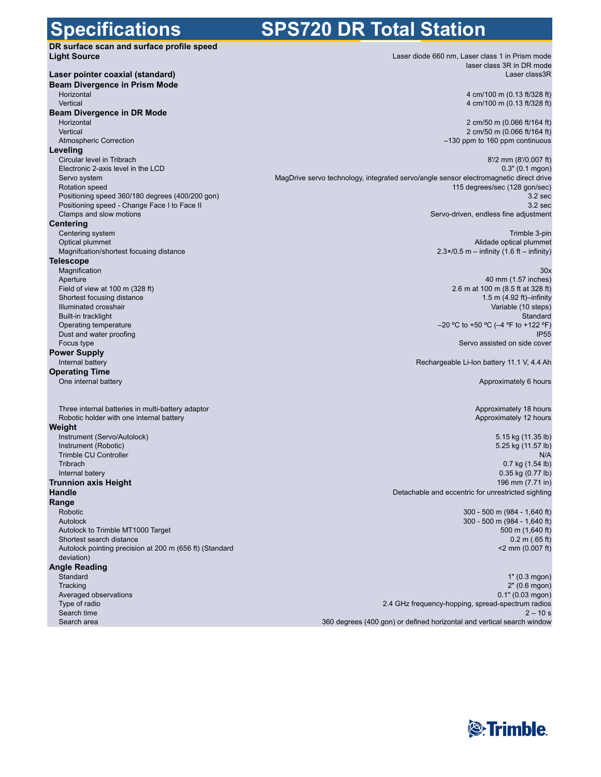### **Specifications**

## **SPS720 DR Total Station**

| <u>sposiniaanono</u>                                                                            |                                                              |
|-------------------------------------------------------------------------------------------------|--------------------------------------------------------------|
| DR surface scan and surface profile speed                                                       |                                                              |
| <b>Light Source</b>                                                                             | Laser diode 660 nm, Las                                      |
| Laser pointer coaxial (standard)                                                                | Ιa                                                           |
| <b>Beam Divergence in Prism Mode</b>                                                            |                                                              |
| Horizontal                                                                                      | 4                                                            |
| Vertical                                                                                        | 4                                                            |
| Beam Divergence in DR Mode                                                                      |                                                              |
| Horizontal                                                                                      | $\overline{c}$                                               |
| Vertical<br><b>Atmospheric Correction</b>                                                       | $\overline{2}$<br>$-130$ pp                                  |
| Leveling                                                                                        |                                                              |
| Circular level in Tribrach                                                                      |                                                              |
| Electronic 2-axis level in the LCD                                                              |                                                              |
| Servo system                                                                                    | MagDrive servo technology, integrated servo/angle sensor ele |
| Rotation speed                                                                                  | 115 d                                                        |
| Positioning speed 360/180 degrees (400/200 gon)<br>Positioning speed - Change Face I to Face II |                                                              |
| Clamps and slow motions                                                                         | Servo-driver                                                 |
| <b>Centering</b>                                                                                |                                                              |
| Centering system                                                                                |                                                              |
| Optical plummet                                                                                 |                                                              |
| Magnifcation/shortest focusing distance                                                         | $2.3 \times 70.5$ m                                          |
| <b>Telescope</b>                                                                                |                                                              |
| Magnification<br>Aperture                                                                       |                                                              |
| Field of view at 100 m (328 ft)                                                                 | 2.6 <sub>m</sub>                                             |
| Shortest focusing distance                                                                      |                                                              |
| Illuminated crosshair                                                                           |                                                              |
| Built-in tracklight                                                                             |                                                              |
| Operating temperature                                                                           | $-20$ °C to                                                  |
| Dust and water proofing<br>Focus type                                                           | Ser                                                          |
| <b>Power Supply</b>                                                                             |                                                              |
| Internal battery                                                                                | Rechargeable Li-                                             |
| <b>Operating Time</b>                                                                           |                                                              |
| One internal battery                                                                            |                                                              |
|                                                                                                 |                                                              |
| Three internal batteries in multi-battery adaptor                                               |                                                              |
| Robotic holder with one internal battery                                                        |                                                              |
| Weight                                                                                          |                                                              |
| Instrument (Servo/Autolock)                                                                     |                                                              |
| Instrument (Robotic)                                                                            |                                                              |
| Trimble CU Controller<br>Tribrach                                                               |                                                              |
| Internal batery                                                                                 |                                                              |
| <b>Trunnion axis Height</b>                                                                     |                                                              |
| <b>Handle</b>                                                                                   | Detachable and eccentri                                      |
| Range                                                                                           |                                                              |
| Robotic                                                                                         | 30                                                           |
| Autolock                                                                                        | 30                                                           |
| Autolock to Trimble MT1000 Target<br>Shortest search distance                                   |                                                              |
| Autolock pointing precision at 200 m (656 ft) (Standard                                         |                                                              |
| deviation)                                                                                      |                                                              |
| <b>Angle Reading</b>                                                                            |                                                              |
| Standard                                                                                        |                                                              |
| Tracking                                                                                        |                                                              |
| Averaged observations                                                                           |                                                              |
| Type of radio<br>Search time                                                                    | 2.4 GHz frequency-hopping                                    |
| Search area                                                                                     | 360 degrees (400 gon) or defined horizontal ar               |
|                                                                                                 |                                                              |
|                                                                                                 |                                                              |

ser class 1 in Prism mode aser class 3R in DR mode Laser class3R

> cm/100 m (0.13 ft/328 ft) cm/100 m (0.13 ft/328 ft)

2 cm/50 m (0.066 ft/164 ft) 2 cm/50 m (0.066 ft/164 ft) –130 ppm to 160 ppm continuous

8'/2 mm (8'/0.007 ft) 0.3" (0.1 mgon) ectromagnetic direct drive legrees/sec (128 gon/sec) 3.2 sec 3.2 sec , endless fine adjustment

> Trimble 3-pin Alidade optical plummet  $-$  infinity (1.6 ft – infinity)

> > 30x

40 mm (1.57 inches) at 100 m (8.5 ft at 328 ft) 1.5 m (4.92 ft)–infinity Variable (10 steps) Standard +50 °C (-4 °F to +122 °F) IP55 vo assisted on side cover

Ion battery 11.1 V, 4.4 Ah

Approximately 6 hours

Approximately 18 hours Approximately 12 hours

5.15 kg (11.35 lb) 5.25 kg (11.57 lb) N/A 0.7 kg (1.54 lb) 0.35 kg (0.77 lb) 196 mm (7.71 in) ic for unrestricted sighting

> 300 - 500 m (984 - 1,640 ft) 300 - 500 m (984 - 1,640 ft) 500 m (1,640 ft) 0.2 m (.65 ft) <2 mm (0.007 ft)

1" (0.3 mgon) 2" (0.6 mgon) 0.1" (0.03 mgon) , spread-spectrum radios  $2 - 10 s$ nd vertical search window